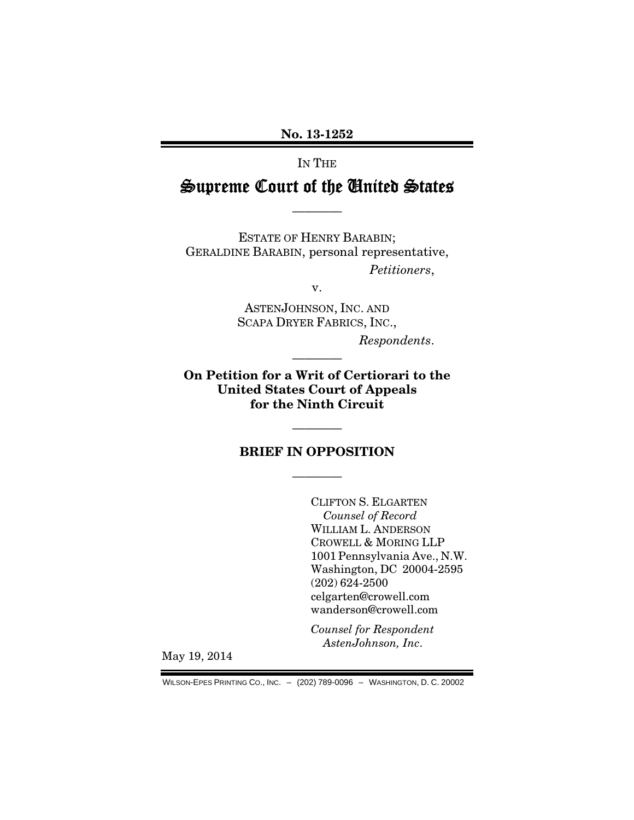No. 13-1252

IN THE

# Supreme Court of the United States

————

ESTATE OF HENRY BARABIN; GERALDINE BARABIN, personal representative, *Petitioners*,

v.

ASTENJOHNSON, INC. AND SCAPA DRYER FABRICS, INC.,

*Respondents*.

On Petition for a Writ of Certiorari to the United States Court of Appeals for the Ninth Circuit

————

#### BRIEF IN OPPOSITION

————

————

CLIFTON S. ELGARTEN *Counsel of Record*  WILLIAM L. ANDERSON CROWELL & MORING LLP 1001 Pennsylvania Ave., N.W. Washington, DC 20004-2595 (202) 624-2500 celgarten@crowell.com wanderson@crowell.com

*Counsel for Respondent AstenJohnson, Inc*.

May 19, 2014

WILSON-EPES PRINTING CO., INC. – (202) 789-0096 – WASHINGTON, D. C. 20002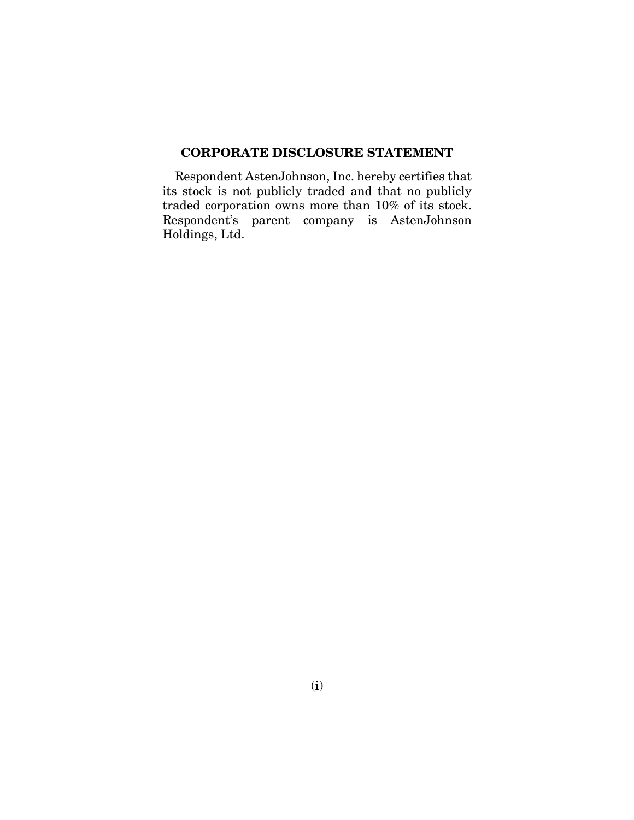## CORPORATE DISCLOSURE STATEMENT

Respondent AstenJohnson, Inc. hereby certifies that its stock is not publicly traded and that no publicly traded corporation owns more than 10% of its stock. Respondent's parent company is AstenJohnson Holdings, Ltd.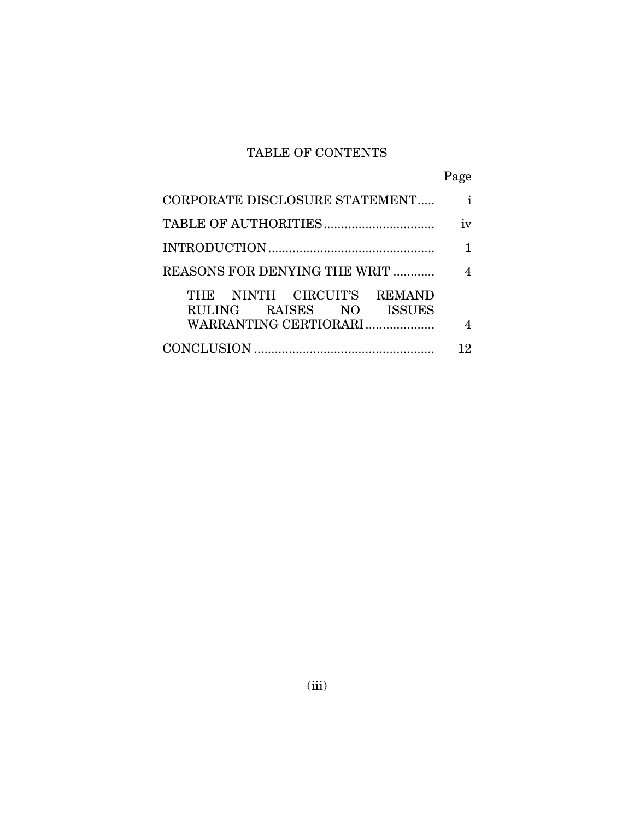## TABLE OF CONTENTS

|                                                                                | Page         |
|--------------------------------------------------------------------------------|--------------|
| CORPORATE DISCLOSURE STATEMENT                                                 | $\mathbf{i}$ |
|                                                                                | iv           |
|                                                                                |              |
| REASONS FOR DENYING THE WRIT                                                   | 4            |
| THE NINTH CIRCUIT'S REMAND<br>RULING RAISES NO ISSUES<br>WARRANTING CERTIORARI | 4            |
|                                                                                | 12           |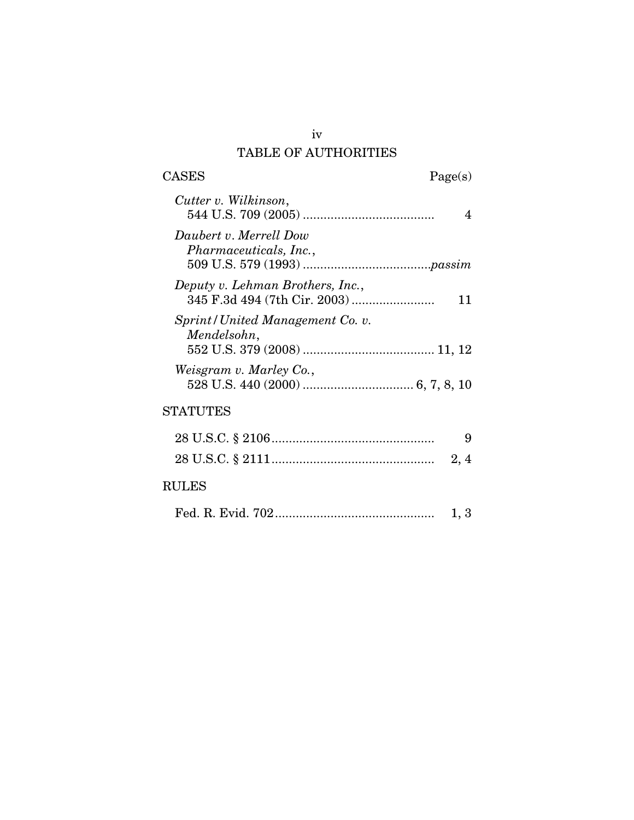## iv TABLE OF AUTHORITIES

 $\begin{tabular}{cc} \textbf{CASES} & \textbf{Page(s)}\\ \end{tabular}$ 

| Cutter v. Wilkinson,                                    |
|---------------------------------------------------------|
| Daubert v. Merrell Dow<br><i>Pharmaceuticals, Inc.,</i> |
| Deputy v. Lehman Brothers, Inc.,<br>11                  |
| Sprint/United Management Co. v.<br>Mendelsohn,          |
| Weisgram v. Marley Co.,                                 |
| STATUTES                                                |
| 9                                                       |
| 2, 4                                                    |

## RULES

|--|--|--|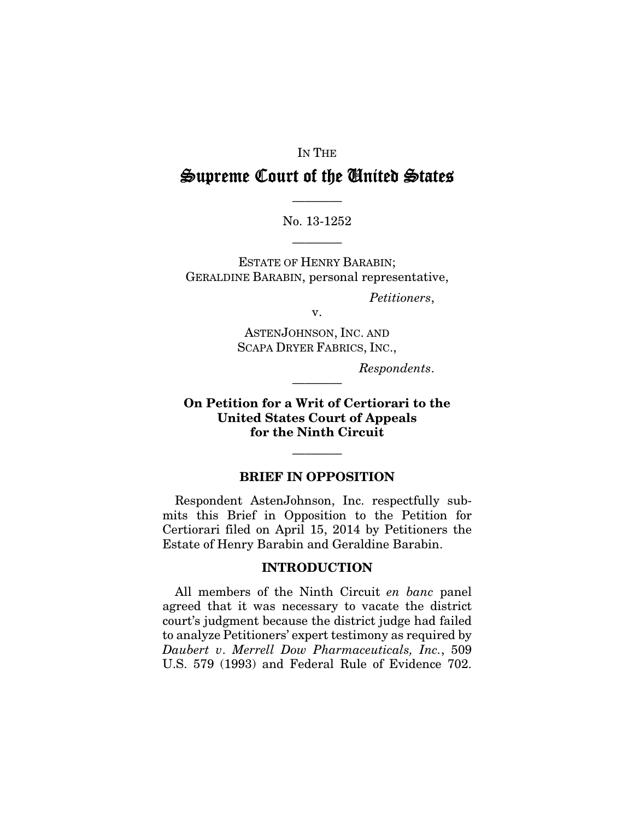#### IN THE

## Supreme Court of the United States

No. 13-1252

————

————

ESTATE OF HENRY BARABIN; GERALDINE BARABIN, personal representative,

*Petitioners*,

v.

ASTENJOHNSON, INC. AND SCAPA DRYER FABRICS, INC.,

*Respondents*.

On Petition for a Writ of Certiorari to the United States Court of Appeals for the Ninth Circuit

————

#### BRIEF IN OPPOSITION

————

Respondent AstenJohnson, Inc. respectfully submits this Brief in Opposition to the Petition for Certiorari filed on April 15, 2014 by Petitioners the Estate of Henry Barabin and Geraldine Barabin.

#### INTRODUCTION

All members of the Ninth Circuit *en banc* panel agreed that it was necessary to vacate the district court's judgment because the district judge had failed to analyze Petitioners' expert testimony as required by *Daubert v*. *Merrell Dow Pharmaceuticals, Inc.*, 509 U.S. 579 (1993) and Federal Rule of Evidence 702.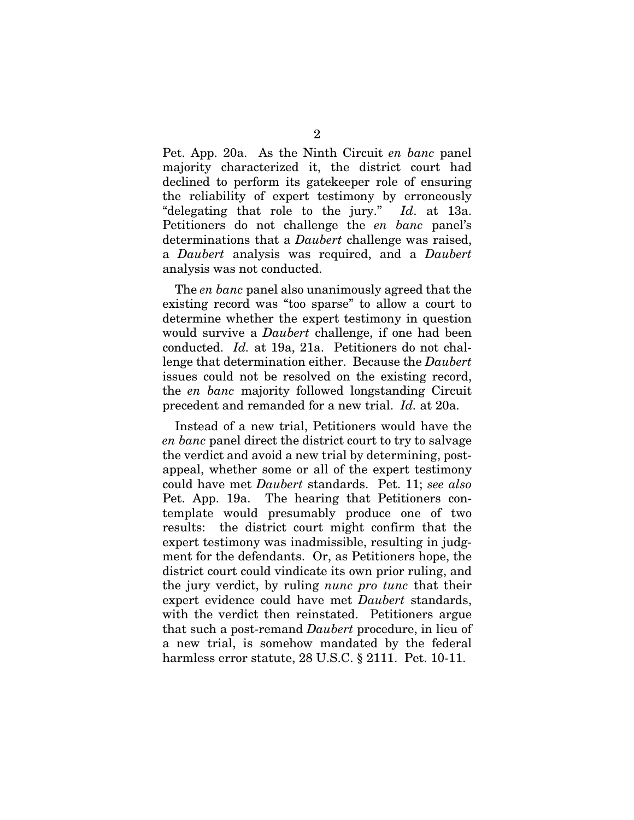Pet. App. 20a. As the Ninth Circuit *en banc* panel majority characterized it, the district court had declined to perform its gatekeeper role of ensuring the reliability of expert testimony by erroneously "delegating that role to the jury." *Id*. at 13a. Petitioners do not challenge the *en banc* panel's determinations that a *Daubert* challenge was raised, a *Daubert* analysis was required, and a *Daubert* analysis was not conducted.

The *en banc* panel also unanimously agreed that the existing record was "too sparse" to allow a court to determine whether the expert testimony in question would survive a *Daubert* challenge, if one had been conducted. *Id.* at 19a, 21a. Petitioners do not challenge that determination either. Because the *Daubert* issues could not be resolved on the existing record, the *en banc* majority followed longstanding Circuit precedent and remanded for a new trial. *Id.* at 20a.

Instead of a new trial, Petitioners would have the *en banc* panel direct the district court to try to salvage the verdict and avoid a new trial by determining, postappeal, whether some or all of the expert testimony could have met *Daubert* standards. Pet. 11; *see also*  Pet. App. 19a. The hearing that Petitioners contemplate would presumably produce one of two results: the district court might confirm that the expert testimony was inadmissible, resulting in judgment for the defendants. Or, as Petitioners hope, the district court could vindicate its own prior ruling, and the jury verdict, by ruling *nunc pro tunc* that their expert evidence could have met *Daubert* standards, with the verdict then reinstated. Petitioners argue that such a post-remand *Daubert* procedure, in lieu of a new trial, is somehow mandated by the federal harmless error statute, 28 U.S.C. § 2111. Pet. 10-11.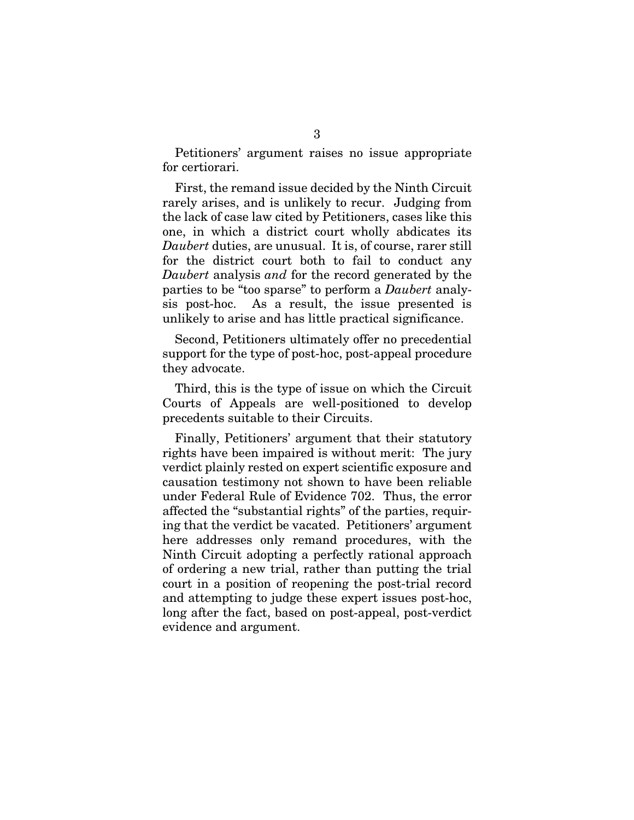Petitioners' argument raises no issue appropriate for certiorari.

First, the remand issue decided by the Ninth Circuit rarely arises, and is unlikely to recur. Judging from the lack of case law cited by Petitioners, cases like this one, in which a district court wholly abdicates its *Daubert* duties, are unusual. It is, of course, rarer still for the district court both to fail to conduct any *Daubert* analysis *and* for the record generated by the parties to be "too sparse" to perform a *Daubert* analysis post-hoc. As a result, the issue presented is unlikely to arise and has little practical significance.

Second, Petitioners ultimately offer no precedential support for the type of post-hoc, post-appeal procedure they advocate.

Third, this is the type of issue on which the Circuit Courts of Appeals are well-positioned to develop precedents suitable to their Circuits.

Finally, Petitioners' argument that their statutory rights have been impaired is without merit: The jury verdict plainly rested on expert scientific exposure and causation testimony not shown to have been reliable under Federal Rule of Evidence 702. Thus, the error affected the "substantial rights" of the parties, requiring that the verdict be vacated. Petitioners' argument here addresses only remand procedures, with the Ninth Circuit adopting a perfectly rational approach of ordering a new trial, rather than putting the trial court in a position of reopening the post-trial record and attempting to judge these expert issues post-hoc, long after the fact, based on post-appeal, post-verdict evidence and argument.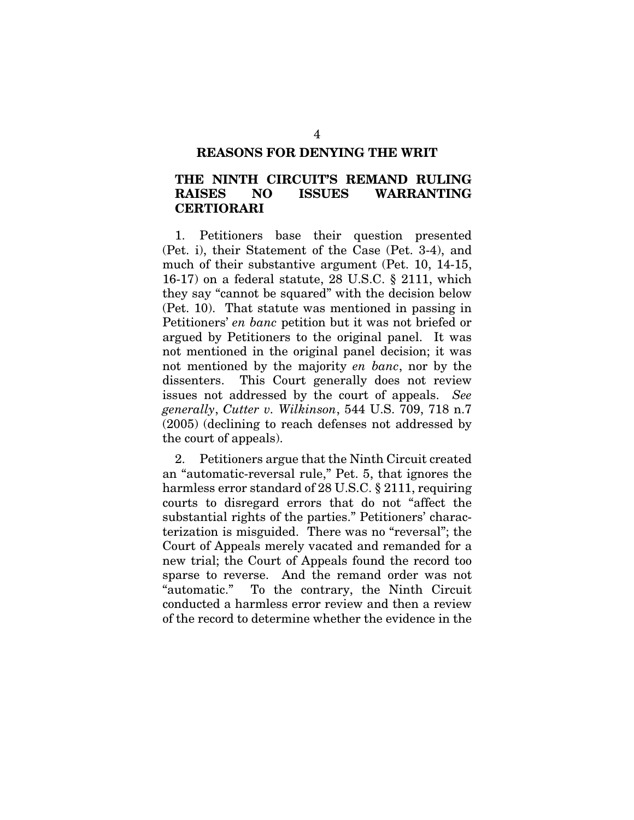#### REASONS FOR DENYING THE WRIT

### THE NINTH CIRCUIT'S REMAND RULING RAISES NO ISSUES WARRANTING CERTIORARI

1. Petitioners base their question presented (Pet. i), their Statement of the Case (Pet. 3-4), and much of their substantive argument (Pet. 10, 14-15, 16-17) on a federal statute, 28 U.S.C. § 2111, which they say "cannot be squared" with the decision below (Pet. 10). That statute was mentioned in passing in Petitioners' *en banc* petition but it was not briefed or argued by Petitioners to the original panel. It was not mentioned in the original panel decision; it was not mentioned by the majority *en banc*, nor by the dissenters. This Court generally does not review issues not addressed by the court of appeals. *See generally*, *Cutter v. Wilkinson*, 544 U.S. 709, 718 n.7 (2005) (declining to reach defenses not addressed by the court of appeals).

2. Petitioners argue that the Ninth Circuit created an "automatic-reversal rule," Pet. 5, that ignores the harmless error standard of 28 U.S.C. § 2111, requiring courts to disregard errors that do not "affect the substantial rights of the parties." Petitioners' characterization is misguided. There was no "reversal"; the Court of Appeals merely vacated and remanded for a new trial; the Court of Appeals found the record too sparse to reverse. And the remand order was not "automatic." To the contrary, the Ninth Circuit conducted a harmless error review and then a review of the record to determine whether the evidence in the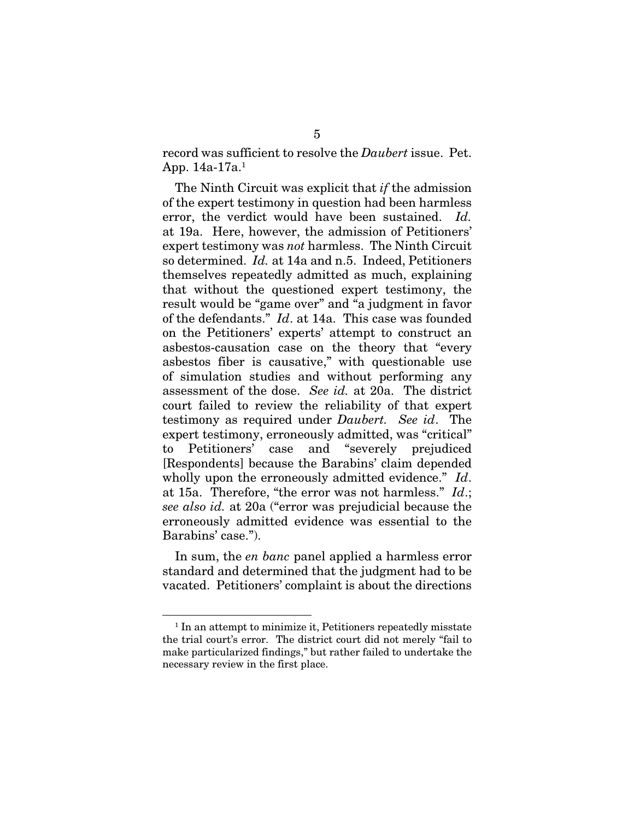record was sufficient to resolve the *Daubert* issue. Pet. App. 14a-17a.1

The Ninth Circuit was explicit that *if* the admission of the expert testimony in question had been harmless error, the verdict would have been sustained. *Id.* at 19a. Here, however, the admission of Petitioners' expert testimony was *not* harmless. The Ninth Circuit so determined. *Id.* at 14a and n.5. Indeed, Petitioners themselves repeatedly admitted as much, explaining that without the questioned expert testimony, the result would be "game over" and "a judgment in favor of the defendants." *Id*. at 14a. This case was founded on the Petitioners' experts' attempt to construct an asbestos-causation case on the theory that "every asbestos fiber is causative," with questionable use of simulation studies and without performing any assessment of the dose. *See id.* at 20a. The district court failed to review the reliability of that expert testimony as required under *Daubert. See id*.The expert testimony, erroneously admitted, was "critical" to Petitioners' case and "severely prejudiced [Respondents] because the Barabins' claim depended wholly upon the erroneously admitted evidence." *Id*. at 15a. Therefore, "the error was not harmless." *Id*.; *see also id.* at 20a ("error was prejudicial because the erroneously admitted evidence was essential to the Barabins' case.").

In sum, the *en banc* panel applied a harmless error standard and determined that the judgment had to be vacated. Petitioners' complaint is about the directions

<sup>&</sup>lt;sup>1</sup> In an attempt to minimize it, Petitioners repeatedly misstate the trial court's error. The district court did not merely "fail to make particularized findings," but rather failed to undertake the necessary review in the first place.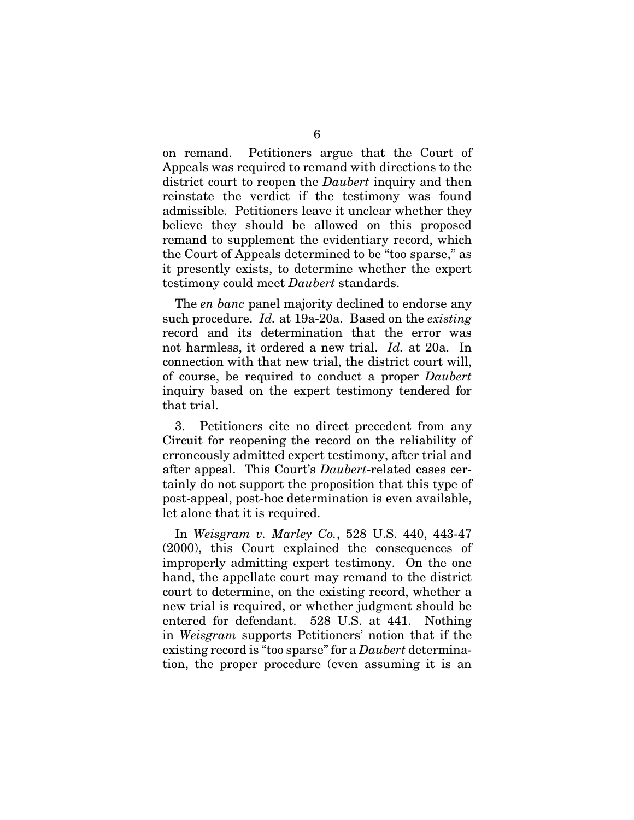on remand. Petitioners argue that the Court of Appeals was required to remand with directions to the district court to reopen the *Daubert* inquiry and then reinstate the verdict if the testimony was found admissible. Petitioners leave it unclear whether they believe they should be allowed on this proposed remand to supplement the evidentiary record, which the Court of Appeals determined to be "too sparse," as it presently exists, to determine whether the expert testimony could meet *Daubert* standards.

The *en banc* panel majority declined to endorse any such procedure. *Id.* at 19a-20a. Based on the *existing*  record and its determination that the error was not harmless, it ordered a new trial. *Id.* at 20a. In connection with that new trial, the district court will, of course, be required to conduct a proper *Daubert* inquiry based on the expert testimony tendered for that trial.

3. Petitioners cite no direct precedent from any Circuit for reopening the record on the reliability of erroneously admitted expert testimony, after trial and after appeal. This Court's *Daubert*-related cases certainly do not support the proposition that this type of post-appeal, post-hoc determination is even available, let alone that it is required.

In *Weisgram v. Marley Co.*, 528 U.S. 440, 443-47 (2000), this Court explained the consequences of improperly admitting expert testimony. On the one hand, the appellate court may remand to the district court to determine, on the existing record, whether a new trial is required, or whether judgment should be entered for defendant. 528 U.S. at 441. Nothing in *Weisgram* supports Petitioners' notion that if the existing record is "too sparse" for a *Daubert* determination, the proper procedure (even assuming it is an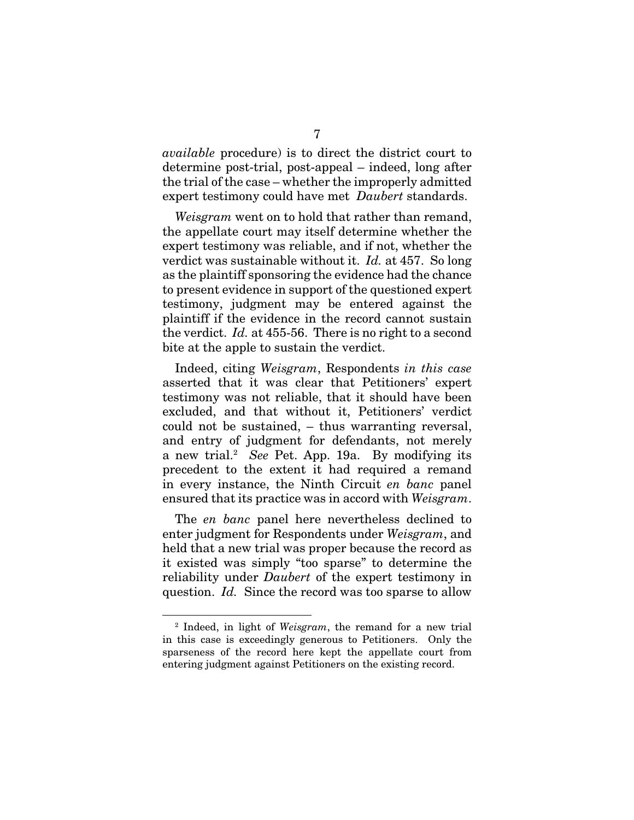*available* procedure) is to direct the district court to determine post-trial, post-appeal – indeed, long after the trial of the case – whether the improperly admitted expert testimony could have met *Daubert* standards.

*Weisgram* went on to hold that rather than remand, the appellate court may itself determine whether the expert testimony was reliable, and if not, whether the verdict was sustainable without it. *Id.* at 457. So long as the plaintiff sponsoring the evidence had the chance to present evidence in support of the questioned expert testimony, judgment may be entered against the plaintiff if the evidence in the record cannot sustain the verdict. *Id.* at 455-56. There is no right to a second bite at the apple to sustain the verdict.

Indeed, citing *Weisgram*, Respondents *in this case*  asserted that it was clear that Petitioners' expert testimony was not reliable, that it should have been excluded, and that without it, Petitioners' verdict could not be sustained, – thus warranting reversal, and entry of judgment for defendants, not merely a new trial.<sup>2</sup> See Pet. App. 19a. By modifying its precedent to the extent it had required a remand in every instance, the Ninth Circuit *en banc* panel ensured that its practice was in accord with *Weisgram*.

The *en banc* panel here nevertheless declined to enter judgment for Respondents under *Weisgram*, and held that a new trial was proper because the record as it existed was simply "too sparse" to determine the reliability under *Daubert* of the expert testimony in question. *Id.* Since the record was too sparse to allow

<sup>2</sup> Indeed, in light of *Weisgram*, the remand for a new trial in this case is exceedingly generous to Petitioners. Only the sparseness of the record here kept the appellate court from entering judgment against Petitioners on the existing record.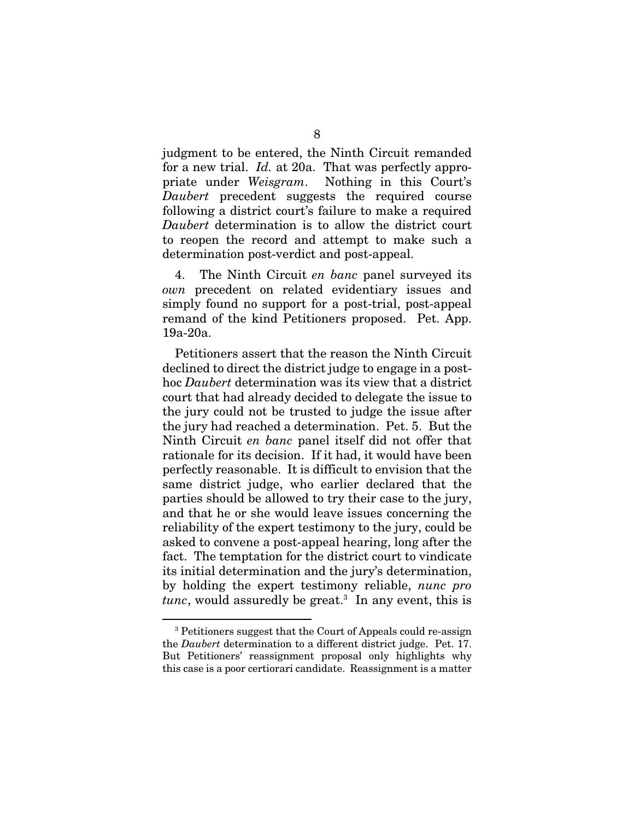judgment to be entered, the Ninth Circuit remanded for a new trial. *Id.* at 20a. That was perfectly appropriate under *Weisgram*. Nothing in this Court's *Daubert* precedent suggests the required course following a district court's failure to make a required *Daubert* determination is to allow the district court to reopen the record and attempt to make such a determination post-verdict and post-appeal.

4. The Ninth Circuit *en banc* panel surveyed its *own* precedent on related evidentiary issues and simply found no support for a post-trial, post-appeal remand of the kind Petitioners proposed. Pet. App. 19a-20a.

Petitioners assert that the reason the Ninth Circuit declined to direct the district judge to engage in a posthoc *Daubert* determination was its view that a district court that had already decided to delegate the issue to the jury could not be trusted to judge the issue after the jury had reached a determination. Pet. 5. But the Ninth Circuit *en banc* panel itself did not offer that rationale for its decision. If it had, it would have been perfectly reasonable. It is difficult to envision that the same district judge, who earlier declared that the parties should be allowed to try their case to the jury, and that he or she would leave issues concerning the reliability of the expert testimony to the jury, could be asked to convene a post-appeal hearing, long after the fact. The temptation for the district court to vindicate its initial determination and the jury's determination, by holding the expert testimony reliable, *nunc pro tunc*, would assuredly be great.3 In any event, this is

<sup>3</sup> Petitioners suggest that the Court of Appeals could re-assign the *Daubert* determination to a different district judge. Pet. 17. But Petitioners' reassignment proposal only highlights why this case is a poor certiorari candidate. Reassignment is a matter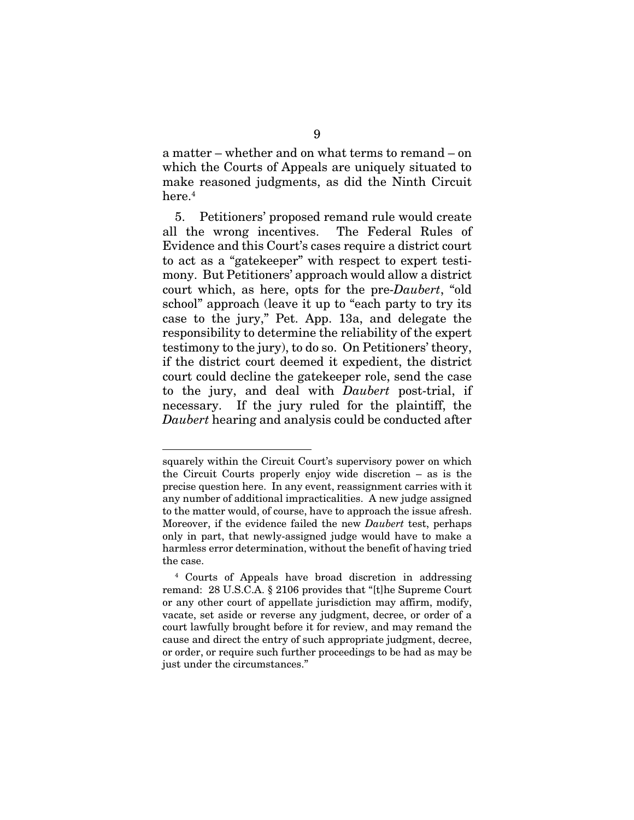a matter – whether and on what terms to remand – on which the Courts of Appeals are uniquely situated to make reasoned judgments, as did the Ninth Circuit here.<sup>4</sup>

5. Petitioners' proposed remand rule would create all the wrong incentives. The Federal Rules of Evidence and this Court's cases require a district court to act as a "gatekeeper" with respect to expert testimony. But Petitioners' approach would allow a district court which, as here, opts for the pre-*Daubert*, "old school" approach (leave it up to "each party to try its case to the jury," Pet. App. 13a, and delegate the responsibility to determine the reliability of the expert testimony to the jury), to do so. On Petitioners' theory, if the district court deemed it expedient, the district court could decline the gatekeeper role, send the case to the jury, and deal with *Daubert* post-trial, if necessary. If the jury ruled for the plaintiff, the *Daubert* hearing and analysis could be conducted after

squarely within the Circuit Court's supervisory power on which the Circuit Courts properly enjoy wide discretion – as is the precise question here. In any event, reassignment carries with it any number of additional impracticalities. A new judge assigned to the matter would, of course, have to approach the issue afresh. Moreover, if the evidence failed the new *Daubert* test, perhaps only in part, that newly-assigned judge would have to make a harmless error determination, without the benefit of having tried the case.

<sup>4</sup> Courts of Appeals have broad discretion in addressing remand: 28 U.S.C.A. § 2106 provides that "[t]he Supreme Court or any other court of appellate jurisdiction may affirm, modify, vacate, set aside or reverse any judgment, decree, or order of a court lawfully brought before it for review, and may remand the cause and direct the entry of such appropriate judgment, decree, or order, or require such further proceedings to be had as may be just under the circumstances."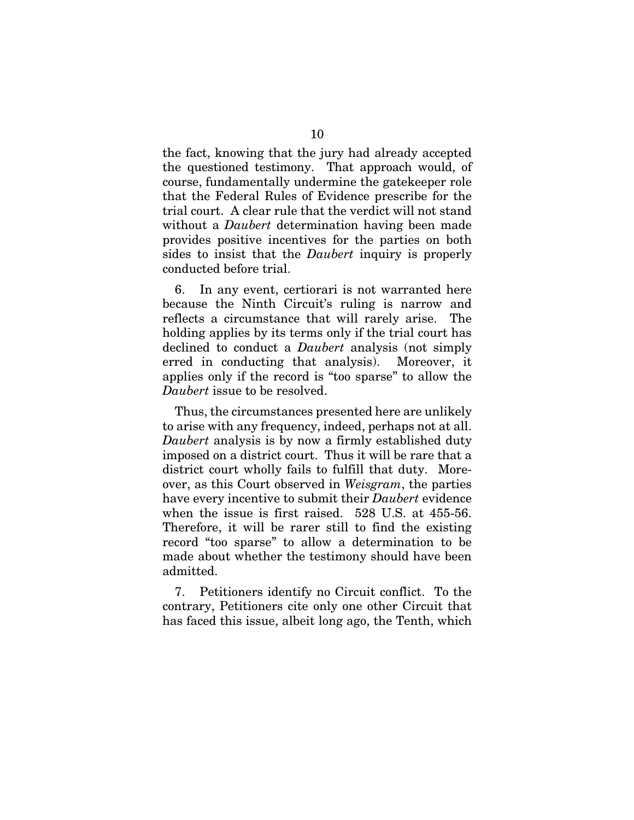the fact, knowing that the jury had already accepted the questioned testimony. That approach would, of course, fundamentally undermine the gatekeeper role that the Federal Rules of Evidence prescribe for the trial court. A clear rule that the verdict will not stand without a *Daubert* determination having been made provides positive incentives for the parties on both sides to insist that the *Daubert* inquiry is properly conducted before trial.

6. In any event, certiorari is not warranted here because the Ninth Circuit's ruling is narrow and reflects a circumstance that will rarely arise. The holding applies by its terms only if the trial court has declined to conduct a *Daubert* analysis (not simply erred in conducting that analysis). Moreover, it applies only if the record is "too sparse" to allow the *Daubert* issue to be resolved.

Thus, the circumstances presented here are unlikely to arise with any frequency, indeed, perhaps not at all. *Daubert* analysis is by now a firmly established duty imposed on a district court. Thus it will be rare that a district court wholly fails to fulfill that duty. Moreover, as this Court observed in *Weisgram*, the parties have every incentive to submit their *Daubert* evidence when the issue is first raised. 528 U.S. at 455-56. Therefore, it will be rarer still to find the existing record "too sparse" to allow a determination to be made about whether the testimony should have been admitted.

7. Petitioners identify no Circuit conflict. To the contrary, Petitioners cite only one other Circuit that has faced this issue, albeit long ago, the Tenth, which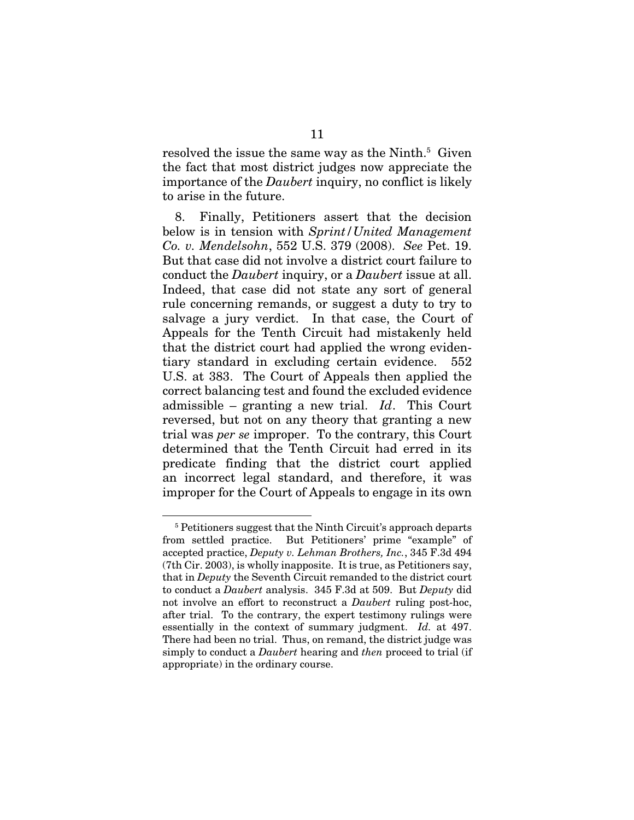resolved the issue the same way as the Ninth.<sup>5</sup> Given the fact that most district judges now appreciate the importance of the *Daubert* inquiry, no conflict is likely to arise in the future.

8. Finally, Petitioners assert that the decision below is in tension with *Sprint/United Management Co. v. Mendelsohn*, 552 U.S. 379 (2008). *See* Pet. 19. But that case did not involve a district court failure to conduct the *Daubert* inquiry, or a *Daubert* issue at all. Indeed, that case did not state any sort of general rule concerning remands, or suggest a duty to try to salvage a jury verdict. In that case, the Court of Appeals for the Tenth Circuit had mistakenly held that the district court had applied the wrong evidentiary standard in excluding certain evidence. 552 U.S. at 383. The Court of Appeals then applied the correct balancing test and found the excluded evidence admissible – granting a new trial. *Id*. This Court reversed, but not on any theory that granting a new trial was *per se* improper. To the contrary, this Court determined that the Tenth Circuit had erred in its predicate finding that the district court applied an incorrect legal standard, and therefore, it was improper for the Court of Appeals to engage in its own

<sup>&</sup>lt;sup>5</sup> Petitioners suggest that the Ninth Circuit's approach departs from settled practice. But Petitioners' prime "example" of accepted practice, *Deputy v. Lehman Brothers, Inc.*, 345 F.3d 494 (7th Cir. 2003), is wholly inapposite. It is true, as Petitioners say, that in *Deputy* the Seventh Circuit remanded to the district court to conduct a *Daubert* analysis. 345 F.3d at 509. But *Deputy* did not involve an effort to reconstruct a *Daubert* ruling post-hoc, after trial. To the contrary, the expert testimony rulings were essentially in the context of summary judgment. *Id.* at 497. There had been no trial. Thus, on remand, the district judge was simply to conduct a *Daubert* hearing and *then* proceed to trial (if appropriate) in the ordinary course.